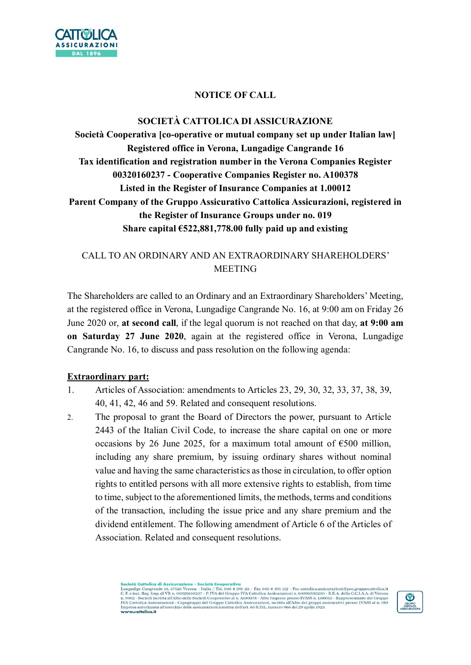

### **NOTICE OF CALL**

### **SOCIETÀ CATTOLICA DI ASSICURAZIONE**

**Società Cooperativa [co-operative or mutual company set up under Italian law] Registered office in Verona, Lungadige Cangrande 16 Tax identification and registration number in the Verona Companies Register 00320160237 - Cooperative Companies Register no. A100378 Listed in the Register of Insurance Companies at 1.00012 Parent Company of the Gruppo Assicurativo Cattolica Assicurazioni, registered in the Register of Insurance Groups under no. 019 Share capital €522,881,778.00 fully paid up and existing**

## CALL TO AN ORDINARY AND AN EXTRAORDINARY SHAREHOLDERS' MEETING

The Shareholders are called to an Ordinary and an Extraordinary Shareholders' Meeting, at the registered office in Verona, Lungadige Cangrande No. 16, at 9:00 am on Friday 26 June 2020 or, **at second call**, if the legal quorum is not reached on that day, **at 9:00 am on Saturday 27 June 2020**, again at the registered office in Verona, Lungadige Cangrande No. 16, to discuss and pass resolution on the following agenda:

#### **Extraordinary part:**

- 1. Articles of Association: amendments to Articles 23, 29, 30, 32, 33, 37, 38, 39, 40, 41, 42, 46 and 59. Related and consequent resolutions.
- 2. The proposal to grant the Board of Directors the power, pursuant to Article 2443 of the Italian Civil Code, to increase the share capital on one or more occasions by 26 June 2025, for a maximum total amount of  $\epsilon$ 500 million, including any share premium, by issuing ordinary shares without nominal value and having the same characteristics as those in circulation, to offer option rights to entitled persons with all more extensive rights to establish, from time to time, subject to the aforementioned limits, the methods, terms and conditions of the transaction, including the issue price and any share premium and the dividend entitlement. The following amendment of Article 6 of the Articles of Association. Related and consequent resolutions.

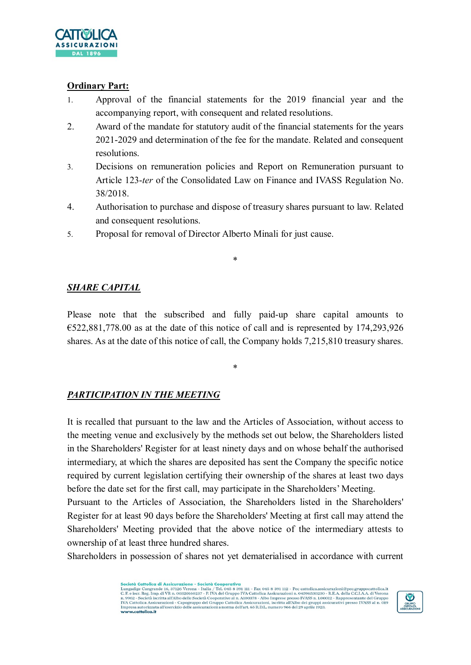

#### **Ordinary Part:**

- 1. Approval of the financial statements for the 2019 financial year and the accompanying report, with consequent and related resolutions.
- 2. Award of the mandate for statutory audit of the financial statements for the years 2021-2029 and determination of the fee for the mandate. Related and consequent resolutions.
- 3. Decisions on remuneration policies and Report on Remuneration pursuant to Article 123-*ter* of the Consolidated Law on Finance and IVASS Regulation No. 38/2018.
- 4. Authorisation to purchase and dispose of treasury shares pursuant to law. Related and consequent resolutions.

\*

5. Proposal for removal of Director Alberto Minali for just cause.

## *SHARE CAPITAL*

Please note that the subscribed and fully paid-up share capital amounts to  $\epsilon$ 522,881,778.00 as at the date of this notice of call and is represented by 174,293,926 shares. As at the date of this notice of call, the Company holds 7,215,810 treasury shares.

\*

# *PARTICIPATION IN THE MEETING*

It is recalled that pursuant to the law and the Articles of Association, without access to the meeting venue and exclusively by the methods set out below, the Shareholders listed in the Shareholders' Register for at least ninety days and on whose behalf the authorised intermediary, at which the shares are deposited has sent the Company the specific notice required by current legislation certifying their ownership of the shares at least two days before the date set for the first call, may participate in the Shareholders' Meeting.

Pursuant to the Articles of Association, the Shareholders listed in the Shareholders' Register for at least 90 days before the Shareholders' Meeting at first call may attend the Shareholders' Meeting provided that the above notice of the intermediary attests to ownership of at least three hundred shares.

Shareholders in possession of shares not yet dematerialised in accordance with current

Società Cattolica di Assicurazione - Società Cooperativo Società Gattelica di Assicurazione - Società Gooperativa<br>
Lungadige Cangrande 16, 37126 Verona - Italia / Tel. 045 8 391 111 - Fax 045 8 391 112 - Pec cattolica.assicurazioni@pec.gruppocattolica.it<br>
C. F. e iscr. Reg. Imp. Impresa autorizzat<br>www.cattolica.it

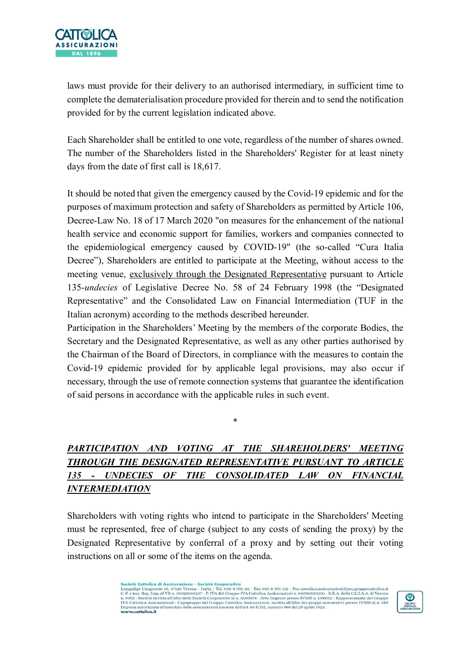

laws must provide for their delivery to an authorised intermediary, in sufficient time to complete the dematerialisation procedure provided for therein and to send the notification provided for by the current legislation indicated above.

Each Shareholder shall be entitled to one vote, regardless of the number of shares owned. The number of the Shareholders listed in the Shareholders' Register for at least ninety days from the date of first call is 18,617.

It should be noted that given the emergency caused by the Covid-19 epidemic and for the purposes of maximum protection and safety of Shareholders as permitted by Article 106, Decree-Law No. 18 of 17 March 2020 "on measures for the enhancement of the national health service and economic support for families, workers and companies connected to the epidemiological emergency caused by COVID-19" (the so-called "Cura Italia Decree"), Shareholders are entitled to participate at the Meeting, without access to the meeting venue, exclusively through the Designated Representative pursuant to Article 135-*undecies* of Legislative Decree No. 58 of 24 February 1998 (the "Designated Representative" and the Consolidated Law on Financial Intermediation (TUF in the Italian acronym) according to the methods described hereunder.

Participation in the Shareholders' Meeting by the members of the corporate Bodies, the Secretary and the Designated Representative, as well as any other parties authorised by the Chairman of the Board of Directors, in compliance with the measures to contain the Covid-19 epidemic provided for by applicable legal provisions, may also occur if necessary, through the use of remote connection systems that guarantee the identification of said persons in accordance with the applicable rules in such event.

# *PARTICIPATION AND VOTING AT THE SHAREHOLDERS' MEETING THROUGH THE DESIGNATED REPRESENTATIVE PURSUANT TO ARTICLE 135 - UNDECIES OF THE CONSOLIDATED LAW ON FINANCIAL INTERMEDIATION*

\*

Shareholders with voting rights who intend to participate in the Shareholders' Meeting must be represented, free of charge (subject to any costs of sending the proxy) by the Designated Representative by conferral of a proxy and by setting out their voting instructions on all or some of the items on the agenda.

> Società Cattolica di Assicurazione - Società Cooperativo Società Gattelica di Assicurazione - Società Gooperativa<br>
> Lungadige Cangrande 16, 37126 Verona - Italia / Tel. 045 8 391 111 - Fax 045 8 391 112 - Pec cattolica.assicurazioni@pec.gruppocattolica.it<br>
> C. F. e iscr. Reg. Imp. Impresa autorizzat<br>www.cattolica.it

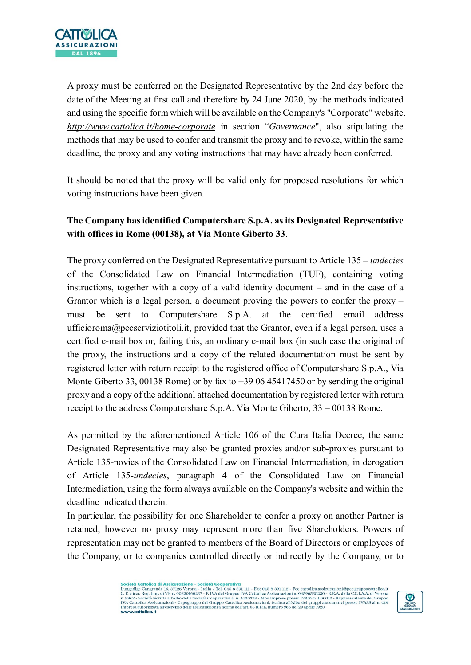

A proxy must be conferred on the Designated Representative by the 2nd day before the date of the Meeting at first call and therefore by 24 June 2020, by the methods indicated and using the specific form which will be available on the Company's "Corporate" website. *<http://www.cattolica.it/>home-corporate* in section "*Governance*", also stipulating the methods that may be used to confer and transmit the proxy and to revoke, within the same deadline, the proxy and any voting instructions that may have already been conferred.

It should be noted that the proxy will be valid only for proposed resolutions for which voting instructions have been given.

# **The Company has identified Computershare S.p.A. as its Designated Representative with offices in Rome (00138), at Via Monte Giberto 33**.

The proxy conferred on the Designated Representative pursuant to Article 135 – *undecies* of the Consolidated Law on Financial Intermediation (TUF), containing voting instructions, together with a copy of a valid identity document – and in the case of a Grantor which is a legal person, a document proving the powers to confer the proxy – must be sent to Computershare S.p.A. at the certified email address [ufficioroma@pecserviziotitoli.it,](mailto:ufficioroma@pecserviziotitoli.it) provided that the Grantor, even if a legal person, uses a certified e-mail box or, failing this, an ordinary e-mail box (in such case the original of the proxy, the instructions and a copy of the related documentation must be sent by registered letter with return receipt to the registered office of Computershare S.p.A., Via Monte Giberto 33, 00138 Rome) or by fax to +39 06 45417450 or by sending the original proxy and a copy of the additional attached documentation by registered letter with return receipt to the address Computershare S.p.A. Via Monte Giberto, 33 – 00138 Rome.

As permitted by the aforementioned Article 106 of the Cura Italia Decree, the same Designated Representative may also be granted proxies and/or sub-proxies pursuant to Article 135-novies of the Consolidated Law on Financial Intermediation, in derogation of Article 135-*undecies*, paragraph 4 of the Consolidated Law on Financial Intermediation, using the form always available on the Company's website and within the deadline indicated therein.

In particular, the possibility for one Shareholder to confer a proxy on another Partner is retained; however no proxy may represent more than five Shareholders. Powers of representation may not be granted to members of the Board of Directors or employees of the Company, or to companies controlled directly or indirectly by the Company, or to

Società Cattolica di Assicurazione - Società Cooperativa Società Gattelica di Assicurazione - Società Gooperativa<br>
Lungadige Cangrande 16, 37126 Verona - Italia / Tel. 045 8 391 111 - Fax 045 8 391 112 - Pec cattolica.assicurazioni@pec.gruppocattolica.it<br>
C. F. e iscr. Reg. Imp. Impresa autorizzat<br>www.cattolica.it

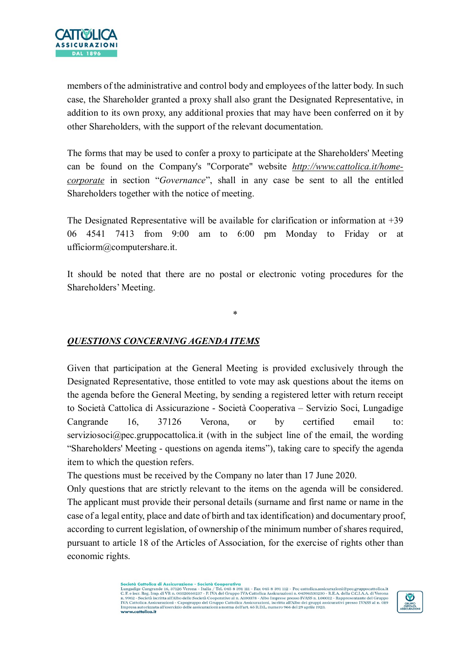

members of the administrative and control body and employees of the latter body. In such case, the Shareholder granted a proxy shall also grant the Designated Representative, in addition to its own proxy, any additional proxies that may have been conferred on it by other Shareholders, with the support of the relevant documentation.

The forms that may be used to confer a proxy to participate at the Shareholders' Meeting can be found on the Company's "Corporate" website *<http://www.cattolica.it/>homecorporate* in section "*Governance*", shall in any case be sent to all the entitled Shareholders together with the notice of meeting.

The Designated Representative will be available for clarification or information at  $+39$ 06 4541 7413 from 9:00 am to 6:00 pm Monday to Friday or at [ufficiorm@computershare.it.](mailto:ufficiorm@computershare.it)

It should be noted that there are no postal or electronic voting procedures for the Shareholders' Meeting.

\*

*QUESTIONS CONCERNING AGENDA ITEMS*

Given that participation at the General Meeting is provided exclusively through the Designated Representative, those entitled to vote may ask questions about the items on the agenda before the General Meeting, by sending a registered letter with return receipt to Società Cattolica di Assicurazione - Società Cooperativa – Servizio Soci, Lungadige Cangrande 16, 37126 Verona, or by certified email to: serviziosoci $@$ pec.gruppocattolica.it (with in the subject line of the email, the wording "Shareholders' Meeting - questions on agenda items"), taking care to specify the agenda item to which the question refers.

The questions must be received by the Company no later than 17 June 2020.

Only questions that are strictly relevant to the items on the agenda will be considered. The applicant must provide their personal details (surname and first name or name in the case of a legal entity, place and date of birth and tax identification) and documentary proof, according to current legislation, of ownership of the minimum number of shares required, pursuant to article 18 of the Articles of Association, for the exercise of rights other than economic rights.

> Società Cattolica di Assicurazione - Società Cooperativo Società Gattelica di Assicurazione - Società Gooperativa<br>
> Lungadige Cangrande 16, 37126 Verona - Italia / Tel. 045 8 391 111 - Fax 045 8 391 112 - Pec cattolica.assicurazioni@pec.gruppocattolica.it<br>
> C. F. e iscr. Reg. Imp. Impresa autorizzat<br>www.cattolica.it

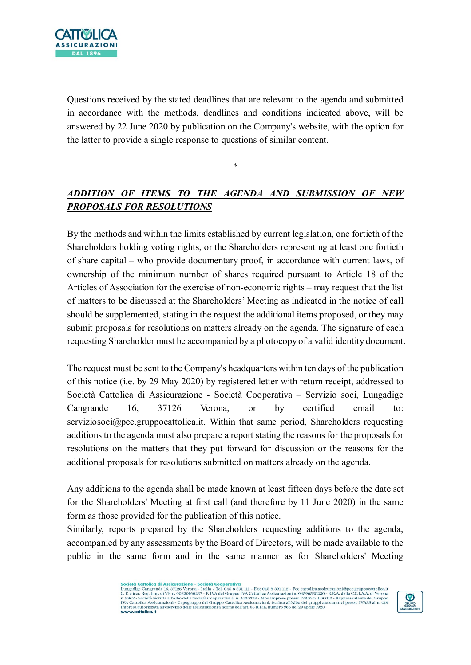

Questions received by the stated deadlines that are relevant to the agenda and submitted in accordance with the methods, deadlines and conditions indicated above, will be answered by 22 June 2020 by publication on the Company's website, with the option for the latter to provide a single response to questions of similar content.

\*

# *ADDITION OF ITEMS TO THE AGENDA AND SUBMISSION OF NEW PROPOSALS FOR RESOLUTIONS*

By the methods and within the limits established by current legislation, one fortieth of the Shareholders holding voting rights, or the Shareholders representing at least one fortieth of share capital – who provide documentary proof, in accordance with current laws, of ownership of the minimum number of shares required pursuant to Article 18 of the Articles of Association for the exercise of non-economic rights – may request that the list of matters to be discussed at the Shareholders' Meeting as indicated in the notice of call should be supplemented, stating in the request the additional items proposed, or they may submit proposals for resolutions on matters already on the agenda. The signature of each requesting Shareholder must be accompanied by a photocopy of a valid identity document.

The request must be sent to the Company's headquarters within ten days of the publication of this notice (i.e. by 29 May 2020) by registered letter with return receipt, addressed to Società Cattolica di Assicurazione - Società Cooperativa – Servizio soci, Lungadige Cangrande 16, 37126 Verona, or by certified email to: [serviziosoci@pec.gruppocattolica.it.](mailto:serviziosoci@pec.gruppocattolica.it) Within that same period, Shareholders requesting additions to the agenda must also prepare a report stating the reasons for the proposals for resolutions on the matters that they put forward for discussion or the reasons for the additional proposals for resolutions submitted on matters already on the agenda.

Any additions to the agenda shall be made known at least fifteen days before the date set for the Shareholders' Meeting at first call (and therefore by 11 June 2020) in the same form as those provided for the publication of this notice.

Similarly, reports prepared by the Shareholders requesting additions to the agenda, accompanied by any assessments by the Board of Directors, will be made available to the public in the same form and in the same manner as for Shareholders' Meeting



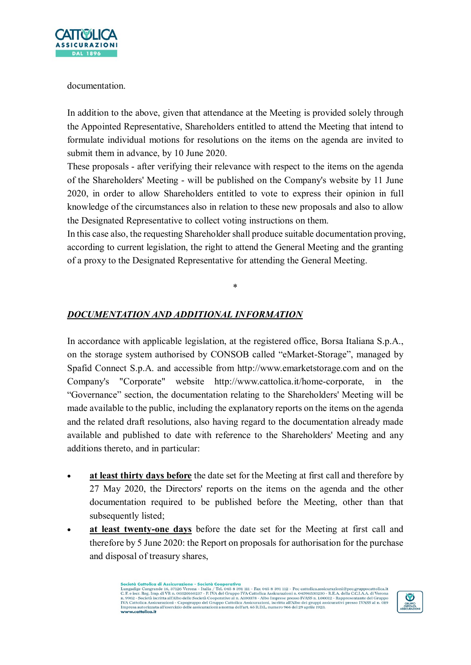

documentation.

In addition to the above, given that attendance at the Meeting is provided solely through the Appointed Representative, Shareholders entitled to attend the Meeting that intend to formulate individual motions for resolutions on the items on the agenda are invited to submit them in advance, by 10 June 2020.

These proposals - after verifying their relevance with respect to the items on the agenda of the Shareholders' Meeting - will be published on the Company's website by 11 June 2020, in order to allow Shareholders entitled to vote to express their opinion in full knowledge of the circumstances also in relation to these new proposals and also to allow the Designated Representative to collect voting instructions on them.

In this case also, the requesting Shareholder shall produce suitable documentation proving, according to current legislation, the right to attend the General Meeting and the granting of a proxy to the Designated Representative for attending the General Meeting.

\*

## *DOCUMENTATION AND ADDITIONAL INFORMATION*

In accordance with applicable legislation, at the registered office, Borsa Italiana S.p.A., on the storage system authorised by CONSOB called "eMarket-Storage", managed by Spafid Connect S.p.A. and accessible from http:/[/www.emarketstorage.com](http://www.emarketstorage.com/) and on the Company's "Corporate" website <http://www.cattolica.it/>home-corporate, in the "Governance" section, the documentation relating to the Shareholders' Meeting will be made available to the public, including the explanatory reports on the items on the agenda and the related draft resolutions, also having regard to the documentation already made available and published to date with reference to the Shareholders' Meeting and any additions thereto, and in particular:

- **at least thirty days before** the date set for the Meeting at first call and therefore by 27 May 2020, the Directors' reports on the items on the agenda and the other documentation required to be published before the Meeting, other than that subsequently listed;
- at least twenty-one days before the date set for the Meeting at first call and therefore by 5 June 2020: the Report on proposals for authorisation for the purchase and disposal of treasury shares,